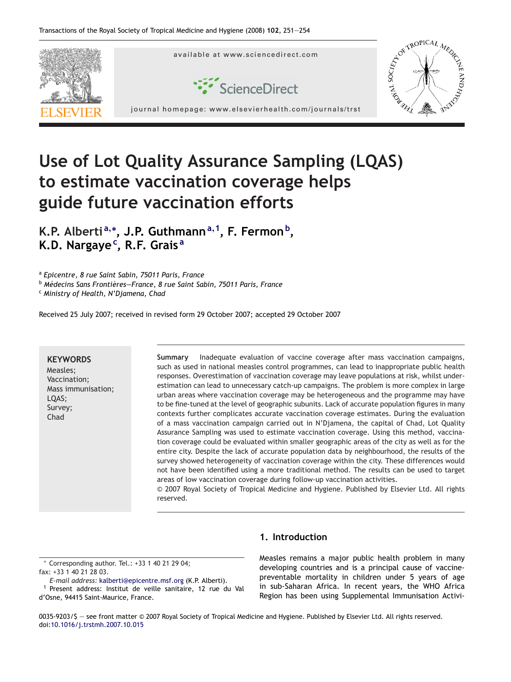

# **Use of Lot Quality Assurance Sampling (LQAS) to estimate vaccination coverage helps guide future vaccination efforts**

**K.P. Alberti <sup>a</sup>,<sup>∗</sup> , J.P. Guthmann<sup>a</sup>,1, F. Fermonb, K.D. Nargaye<sup>c</sup> , R.F. Grais <sup>a</sup>**

<sup>a</sup> *Epicentre, 8 rue Saint Sabin, 75011 Paris, France*

<sup>b</sup> Médecins Sans Frontières–France, 8 rue Saint Sabin, 75011 Paris, France

<sup>c</sup> *Ministry of Health, N'Djamena, Chad*

Received 25 July 2007; received in revised form 29 October 2007; accepted 29 October 2007

## **KEYWORDS**

Measles; Vaccination; Mass immunisation; LQAS; Survey; Chad

**Summary** Inadequate evaluation of vaccine coverage after mass vaccination campaigns, such as used in national measles control programmes, can lead to inappropriate public health responses. Overestimation of vaccination coverage may leave populations at risk, whilst underestimation can lead to unnecessary catch-up campaigns. The problem is more complex in large urban areas where vaccination coverage may be heterogeneous and the programme may have to be fine-tuned at the level of geographic subunits. Lack of accurate population figures in many contexts further complicates accurate vaccination coverage estimates. During the evaluation of a mass vaccination campaign carried out in N'Djamena, the capital of Chad, Lot Quality Assurance Sampling was used to estimate vaccination coverage. Using this method, vaccination coverage could be evaluated within smaller geographic areas of the city as well as for the entire city. Despite the lack of accurate population data by neighbourhood, the results of the survey showed heterogeneity of vaccination coverage within the city. These differences would not have been identified using a more traditional method. The results can be used to target areas of low vaccination coverage during follow-up vaccination activities.

© 2007 Royal Society of Tropical Medicine and Hygiene. Published by Elsevier Ltd. All rights reserved.

∗ Corresponding author. Tel.: +33 1 40 21 29 04; fax: +33 1 40 21 28 03.

*E-mail address:* [kalberti@epicentre.msf.org](mailto:kalberti@epicentre.msf.org) (K.P. Alberti).

<sup>1</sup> Present address: Institut de veille sanitaire, 12 rue du Val d'Osne, 94415 Saint-Maurice, France.

## **1. Introduction**

Measles remains a major public health problem in many developing countries and is a principal cause of vaccinepreventable mortality in children under 5 years of age in sub-Saharan Africa. In recent years, the WHO Africa Region has been using Supplemental Immunisation Activi-

0035-9203/\$ — see front matter © 2007 Royal Society of Tropical Medicine and Hygiene. Published by Elsevier Ltd. All rights reserved. doi[:10.1016/j.trstmh.2007.10.015](dx.doi.org/10.1016/j.trstmh.2007.10.015)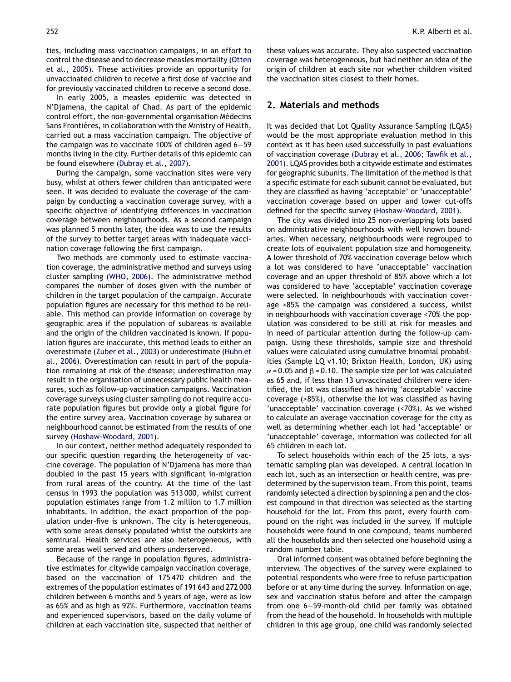ties, including mass vaccination campaigns, in an effort to control the disease and to decrease measles mortality [\(Otten](#page-3-0) [et al., 2005\).](#page-3-0) These activities provide an opportunity for unvaccinated children to receive a first dose of vaccine and for previously vaccinated children to receive a second dose.

In early 2005, a measles epidemic was detected in N'Djamena, the capital of Chad. As part of the epidemic control effort, the non-governmental organisation Médecins Sans Frontières, in collaboration with the Ministry of Health, carried out a mass vaccination campaign. The objective of the campaign was to vaccinate 100% of children aged 6—59 months living in the city. Further details of this epidemic can be found elsewhere ([Dubray et al., 2007\).](#page-3-0)

During the campaign, some vaccination sites were very busy, whilst at others fewer children than anticipated were seen. It was decided to evaluate the coverage of the campaign by conducting a vaccination coverage survey, with a specific objective of identifying differences in vaccination coverage between neighbourhoods. As a second campaign was planned 5 months later, the idea was to use the results of the survey to better target areas with inadequate vaccination coverage following the first campaign.

Two methods are commonly used to estimate vaccination coverage, the administrative method and surveys using cluster sampling [\(WHO, 2006\).](#page-3-0) The administrative method compares the number of doses given with the number of children in the target population of the campaign. Accurate population figures are necessary for this method to be reliable. This method can provide information on coverage by geographic area if the population of subareas is available and the origin of the children vaccinated is known. If population figures are inaccurate, this method leads to either an overestimate [\(Zuber et al., 2003\) o](#page-3-0)r underestimate ([Huhn et](#page-3-0) [al., 2006\).](#page-3-0) Overestimation can result in part of the population remaining at risk of the disease; underestimation may result in the organisation of unnecessary public health measures, such as follow-up vaccination campaigns. Vaccination coverage surveys using cluster sampling do not require accurate population figures but provide only a global figure for the entire survey area. Vaccination coverage by subarea or neighbourhood cannot be estimated from the results of one survey ([Hoshaw-Woodard, 2001\).](#page-3-0)

In our context, neither method adequately responded to our specific question regarding the heterogeneity of vaccine coverage. The population of N'Djamena has more than doubled in the past 15 years with significant in-migration from rural areas of the country. At the time of the last census in 1993 the population was 513 000, whilst current population estimates range from 1.2 million to 1.7 million inhabitants. In addition, the exact proportion of the population under-five is unknown. The city is heterogeneous, with some areas densely populated whilst the outskirts are semirural. Health services are also heterogeneous, with some areas well served and others underserved.

Because of the range in population figures, administrative estimates for citywide campaign vaccination coverage, based on the vaccination of 175 470 children and the extremes of the population estimates of 191 643 and 272 000 children between 6 months and 5 years of age, were as low as 65% and as high as 92%. Furthermore, vaccination teams and experienced supervisors, based on the daily volume of children at each vaccination site, suspected that neither of

these values was accurate. They also suspected vaccination coverage was heterogeneous, but had neither an idea of the origin of children at each site nor whether children visited the vaccination sites closest to their homes.

## **2. Materials and methods**

It was decided that Lot Quality Assurance Sampling (LQAS) would be the most appropriate evaluation method in this context as it has been used successfully in past evaluations of vaccination coverage ([Dubray et al., 2006; Tawfik et al.,](#page-3-0) [2001\).](#page-3-0) LQAS provides both a citywide estimate and estimates for geographic subunits. The limitation of the method is that a specific estimate for each subunit cannot be evaluated, but they are classified as having 'acceptable' or 'unacceptable' vaccination coverage based on upper and lower cut-offs defined for the specific survey [\(Hoshaw-Woodard, 2001\).](#page-3-0)

The city was divided into 25 non-overlapping lots based on administrative neighbourhoods with well known boundaries. When necessary, neighbourhoods were regrouped to create lots of equivalent population size and homogeneity. A lower threshold of 70% vaccination coverage below which a lot was considered to have 'unacceptable' vaccination coverage and an upper threshold of 85% above which a lot was considered to have 'acceptable' vaccination coverage were selected. In neighbourhoods with vaccination coverage >85% the campaign was considered a success, whilst in neighbourhoods with vaccination coverage <70% the population was considered to be still at risk for measles and in need of particular attention during the follow-up campaign. Using these thresholds, sample size and threshold values were calculated using cumulative binomial probabilities (Sample LQ v1.10; Brixton Health, London, UK) using  $\alpha$  = 0.05 and ß = 0.10. The sample size per lot was calculated as 65 and, if less than 13 unvaccinated children were identified, the lot was classified as having 'acceptable' vaccine coverage (>85%), otherwise the lot was classified as having 'unacceptable' vaccination coverage (<70%). As we wished to calculate an average vaccination coverage for the city as well as determining whether each lot had 'acceptable' or 'unacceptable' coverage, information was collected for all 65 children in each lot.

To select households within each of the 25 lots, a systematic sampling plan was developed. A central location in each lot, such as an intersection or health centre, was predetermined by the supervision team. From this point, teams randomly selected a direction by spinning a pen and the closest compound in that direction was selected as the starting household for the lot. From this point, every fourth compound on the right was included in the survey. If multiple households were found in one compound, teams numbered all the households and then selected one household using a random number table.

Oral informed consent was obtained before beginning the interview. The objectives of the survey were explained to potential respondents who were free to refuse participation before or at any time during the survey. Information on age, sex and vaccination status before and after the campaign from one 6—59-month-old child per family was obtained from the head of the household. In households with multiple children in this age group, one child was randomly selected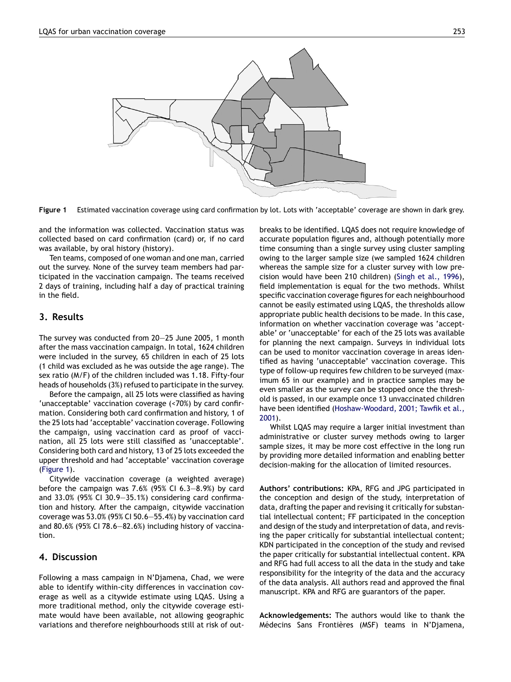

**Figure 1** Estimated vaccination coverage using card confirmation by lot. Lots with 'acceptable' coverage are shown in dark grey.

and the information was collected. Vaccination status was collected based on card confirmation (card) or, if no card was available, by oral history (history).

Ten teams, composed of one woman and one man, carried out the survey. None of the survey team members had participated in the vaccination campaign. The teams received 2 days of training, including half a day of practical training in the field.

## **3. Results**

The survey was conducted from 20—25 June 2005, 1 month after the mass vaccination campaign. In total, 1624 children were included in the survey, 65 children in each of 25 lots (1 child was excluded as he was outside the age range). The sex ratio (M/F) of the children included was 1.18. Fifty-four heads of households (3%) refused to participate in the survey.

Before the campaign, all 25 lots were classified as having 'unacceptable' vaccination coverage (<70%) by card confirmation. Considering both card confirmation and history, 1 of the 25 lots had 'acceptable' vaccination coverage. Following the campaign, using vaccination card as proof of vaccination, all 25 lots were still classified as 'unacceptable'. Considering both card and history, 13 of 25 lots exceeded the upper threshold and had 'acceptable' vaccination coverage (Figure 1).

Citywide vaccination coverage (a weighted average) before the campaign was 7.6% (95% CI 6.3—8.9%) by card and 33.0% (95% CI 30.9—35.1%) considering card confirmation and history. After the campaign, citywide vaccination coverage was 53.0% (95% CI 50.6—55.4%) by vaccination card and 80.6% (95% CI 78.6—82.6%) including history of vaccination.

## **4. Discussion**

Following a mass campaign in N'Djamena, Chad, we were able to identify within-city differences in vaccination coverage as well as a citywide estimate using LQAS. Using a more traditional method, only the citywide coverage estimate would have been available, not allowing geographic variations and therefore neighbourhoods still at risk of out-

breaks to be identified. LQAS does not require knowledge of accurate population figures and, although potentially more time consuming than a single survey using cluster sampling owing to the larger sample size (we sampled 1624 children whereas the sample size for a cluster survey with low precision would have been 210 children) [\(Singh et al., 1996\),](#page-3-0) field implementation is equal for the two methods. Whilst specific vaccination coverage figures for each neighbourhood cannot be easily estimated using LQAS, the thresholds allow appropriate public health decisions to be made. In this case, information on whether vaccination coverage was 'acceptable' or 'unacceptable' for each of the 25 lots was available for planning the next campaign. Surveys in individual lots can be used to monitor vaccination coverage in areas identified as having 'unacceptable' vaccination coverage. This type of follow-up requires few children to be surveyed (maximum 65 in our example) and in practice samples may be even smaller as the survey can be stopped once the threshold is passed, in our example once 13 unvaccinated children have been identified [\(Hoshaw-Woodard, 2001; Tawfik et al.,](#page-3-0) [2001\).](#page-3-0)

Whilst LQAS may require a larger initial investment than administrative or cluster survey methods owing to larger sample sizes, it may be more cost effective in the long run by providing more detailed information and enabling better decision-making for the allocation of limited resources.

**Authors' contributions:** KPA, RFG and JPG participated in the conception and design of the study, interpretation of data, drafting the paper and revising it critically for substantial intellectual content; FF participated in the conception and design of the study and interpretation of data, and revising the paper critically for substantial intellectual content; KDN participated in the conception of the study and revised the paper critically for substantial intellectual content. KPA and RFG had full access to all the data in the study and take responsibility for the integrity of the data and the accuracy of the data analysis. All authors read and approved the final manuscript. KPA and RFG are guarantors of the paper.

**Acknowledgements:** The authors would like to thank the Médecins Sans Frontières (MSF) teams in N'Djamena,